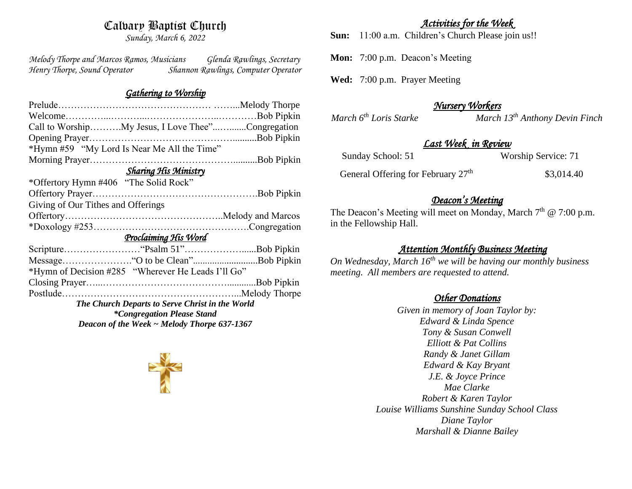# Calvary Baptist Church

*Sunday, March 6, 2022*

*Melody Thorpe and Marcos Ramos, Musicians Glenda Rawlings, Secretary Henry Thorpe, Sound Operator Shannon Rawlings, Computer Operator* 

#### *Gathering to Worship*

| Call to WorshipMy Jesus, I Love Thee"Congregation  |  |  |
|----------------------------------------------------|--|--|
|                                                    |  |  |
| *Hymn #59 "My Lord Is Near Me All the Time"        |  |  |
|                                                    |  |  |
| <b>Sharing His Ministry</b>                        |  |  |
| *Offertory Hymn #406 "The Solid Rock"              |  |  |
|                                                    |  |  |
| Giving of Our Tithes and Offerings                 |  |  |
|                                                    |  |  |
|                                                    |  |  |
| Proclaiming His Word                               |  |  |
|                                                    |  |  |
|                                                    |  |  |
| *Hymn of Decision #285 "Wherever He Leads I'll Go" |  |  |
|                                                    |  |  |
|                                                    |  |  |
| The Church Departs to Serve Christ in the World    |  |  |
| <i>*Congregation Please Stand</i>                  |  |  |
| Deacon of the Week $\sim$ Melody Thorpe 637-1367   |  |  |

## *Activities for the Week*

**Sun:** 11:00 a.m. Children's Church Please join us!!

**Mon:** 7:00 p.m. Deacon's Meeting

**Wed:** 7:00 p.m. Prayer Meeting

## *Nursery Workers*

*March*  $6^{th}$  *Loris Starke March* 13<sup><sup>th</sup> *Anthony Devin Finch*</sup>

## *Last Week in Review*

| Sunday School: 51 |  |
|-------------------|--|
|-------------------|--|

Sunday School: 51 Worship Service: 71

General Offering for February 27<sup>th</sup> \$3,014.40

### *Deacon's Meeting*

The Deacon's Meeting will meet on Monday, March 7<sup>th</sup> @ 7:00 p.m. in the Fellowship Hall.

## *Attention Monthly Business Meeting*

*On Wednesday, March 16th we will be having our monthly business meeting. All members are requested to attend.* 

## *Other Donations*

*Given in memory of Joan Taylor by: Edward & Linda Spence Tony & Susan Conwell Elliott & Pat Collins Randy & Janet Gillam Edward & Kay Bryant J.E. & Joyce Prince Mae Clarke Robert & Karen Taylor Louise Williams Sunshine Sunday School Class Diane Taylor Marshall & Dianne Bailey*

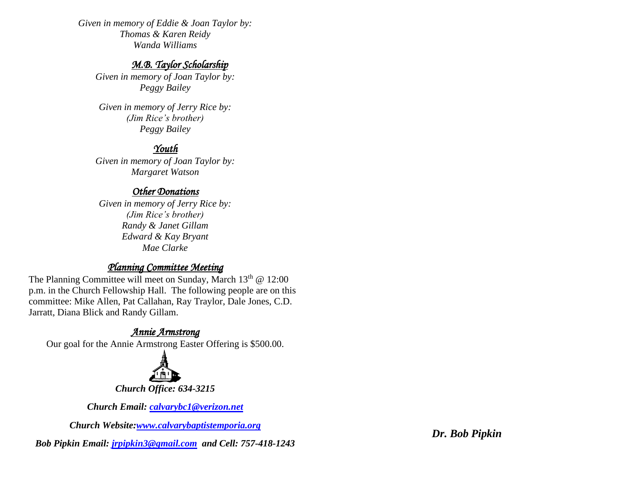*Given in memory of Eddie & Joan Taylor by: Thomas & Karen Reidy Wanda Williams*

## *M.B. Taylor Scholarship*

*Given in memory of Joan Taylor by: Peggy Bailey*

*Given in memory of Jerry Rice by: (Jim Rice's brother) Peggy Bailey*

# *Youth*

*Given in memory of Joan Taylor by: Margaret Watson*

### *Other Donations*

*Given in memory of Jerry Rice by: (Jim Rice's brother) Randy & Janet Gillam Edward & Kay Bryant Mae Clarke* 

# *Planning Committee Meeting*

The Planning Committee will meet on Sunday, March  $13<sup>th</sup>$  @ 12:00 p.m. in the Church Fellowship Hall. The following people are on this committee: Mike Allen, Pat Callahan, Ray Traylor, Dale Jones, C.D. Jarratt, Diana Blick and Randy Gillam.

# *Annie Armstrong*

Our goal for the Annie Armstrong Easter Offering is \$500.00.



*Church Office: 634-3215*

*Church Email: [calvarybc1@verizon.net](mailto:cbcemporiaoffice@gmail.com)*

*Church Website[:www.calvarybaptistemporia.org](http://www.calvarybaptistemporia.org/)*

*Bob Pipkin Email: [jrpipkin3@gmail.com](mailto:jrpipkin3@gmail.com) and Cell: 757-418-1243*

*Dr. Bob Pipkin*